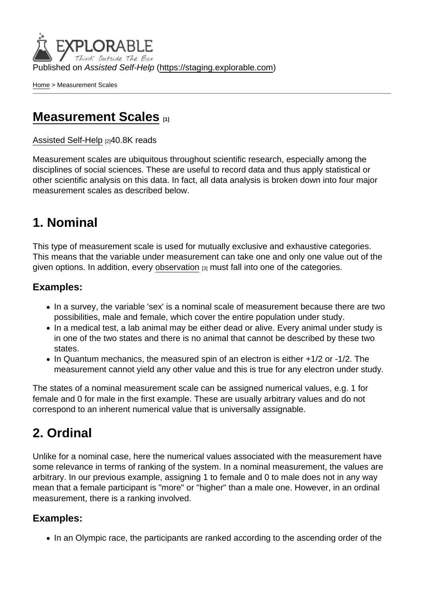Published on Assisted Self-Help [\(https://staging.explorable.com](https://staging.explorable.com))

[Home](https://staging.explorable.com/en) > Measurement Scales

## [Measurement Scales](https://staging.explorable.com/en/measurement-scales) [1]

[Assisted Self-Help](https://staging.explorable.com/en) [2]40.8K reads

Measurement scales are ubiquitous throughout scientific research, especially among the disciplines of social sciences. These are useful to record data and thus apply statistical or other scientific analysis on this data. In fact, all data analysis is broken down into four major measurement scales as described below.

### 1. Nominal

This type of measurement scale is used for mutually exclusive and exhaustive categories. This means that the variable under measurement can take one and only one value out of the given options. In addition, every [observation](https://staging.explorable.com/scientific-observation) [3] must fall into one of the categories.

#### Examples:

- In a survey, the variable 'sex' is a nominal scale of measurement because there are two possibilities, male and female, which cover the entire population under study.
- In a medical test, a lab animal may be either dead or alive. Every animal under study is in one of the two states and there is no animal that cannot be described by these two states.
- In Quantum mechanics, the measured spin of an electron is either +1/2 or -1/2. The measurement cannot yield any other value and this is true for any electron under study.

The states of a nominal measurement scale can be assigned numerical values, e.g. 1 for female and 0 for male in the first example. These are usually arbitrary values and do not correspond to an inherent numerical value that is universally assignable.

## 2. Ordinal

Unlike for a nominal case, here the numerical values associated with the measurement have some relevance in terms of ranking of the system. In a nominal measurement, the values are arbitrary. In our previous example, assigning 1 to female and 0 to male does not in any way mean that a female participant is "more" or "higher" than a male one. However, in an ordinal measurement, there is a ranking involved.

#### Examples:

• In an Olympic race, the participants are ranked according to the ascending order of the